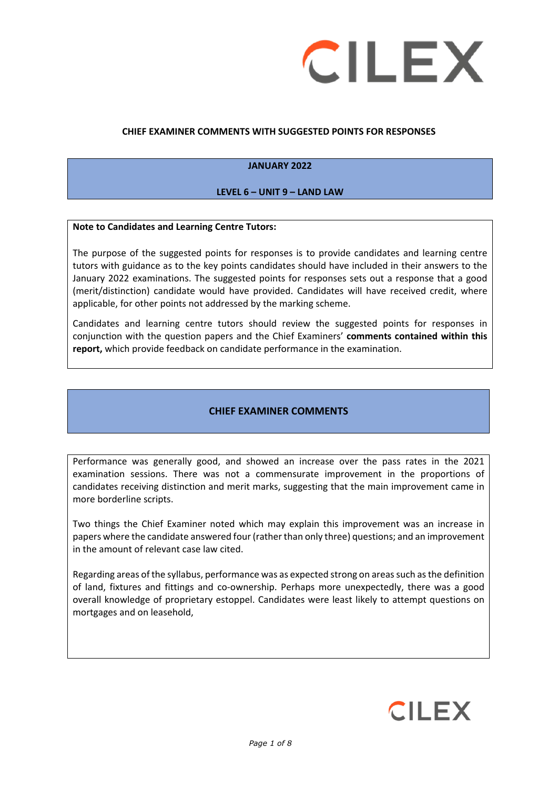

#### **CHIEF EXAMINER COMMENTS WITH SUGGESTED POINTS FOR RESPONSES**

#### **JANUARY 2022**

#### **LEVEL 6 – UNIT 9 – LAND LAW**

#### **Note to Candidates and Learning Centre Tutors:**

The purpose of the suggested points for responses is to provide candidates and learning centre tutors with guidance as to the key points candidates should have included in their answers to the January 2022 examinations. The suggested points for responses sets out a response that a good (merit/distinction) candidate would have provided. Candidates will have received credit, where applicable, for other points not addressed by the marking scheme.

Candidates and learning centre tutors should review the suggested points for responses in conjunction with the question papers and the Chief Examiners' **comments contained within this report,** which provide feedback on candidate performance in the examination.

#### **CHIEF EXAMINER COMMENTS**

Performance was generally good, and showed an increase over the pass rates in the 2021 examination sessions. There was not a commensurate improvement in the proportions of candidates receiving distinction and merit marks, suggesting that the main improvement came in more borderline scripts.

Two things the Chief Examiner noted which may explain this improvement was an increase in papers where the candidate answered four (rather than only three) questions; and an improvement in the amount of relevant case law cited.

Regarding areas of the syllabus, performance was as expected strong on areas such as the definition of land, fixtures and fittings and co-ownership. Perhaps more unexpectedly, there was a good overall knowledge of proprietary estoppel. Candidates were least likely to attempt questions on mortgages and on leasehold,

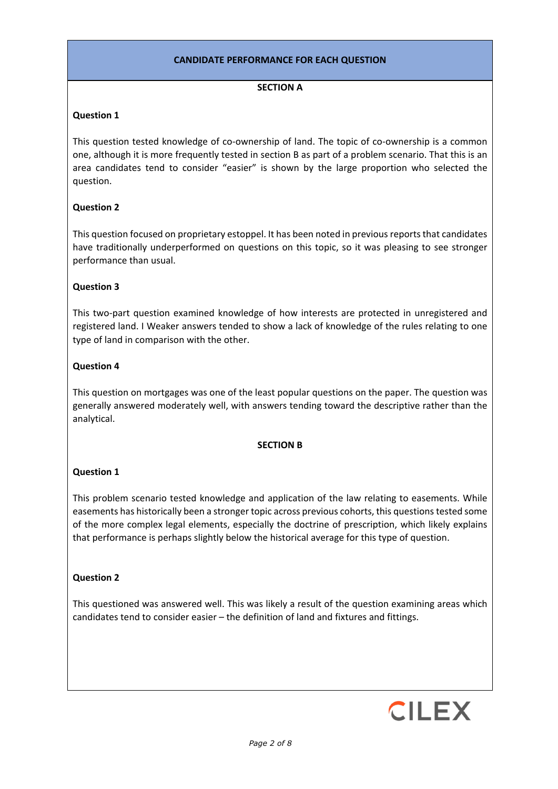## **CANDIDATE PERFORMANCE FOR EACH QUESTION**

#### **SECTION A**

## **Question 1**

This question tested knowledge of co-ownership of land. The topic of co-ownership is a common one, although it is more frequently tested in section B as part of a problem scenario. That this is an area candidates tend to consider "easier" is shown by the large proportion who selected the question.

# **Question 2**

This question focused on proprietary estoppel. It has been noted in previous reports that candidates have traditionally underperformed on questions on this topic, so it was pleasing to see stronger performance than usual.

## **Question 3**

This two-part question examined knowledge of how interests are protected in unregistered and registered land. I Weaker answers tended to show a lack of knowledge of the rules relating to one type of land in comparison with the other.

## **Question 4**

This question on mortgages was one of the least popular questions on the paper. The question was generally answered moderately well, with answers tending toward the descriptive rather than the analytical.

## **SECTION B**

## **Question 1**

This problem scenario tested knowledge and application of the law relating to easements. While easements has historically been a stronger topic across previous cohorts, this questions tested some of the more complex legal elements, especially the doctrine of prescription, which likely explains that performance is perhaps slightly below the historical average for this type of question.

## **Question 2**

This questioned was answered well. This was likely a result of the question examining areas which candidates tend to consider easier – the definition of land and fixtures and fittings.

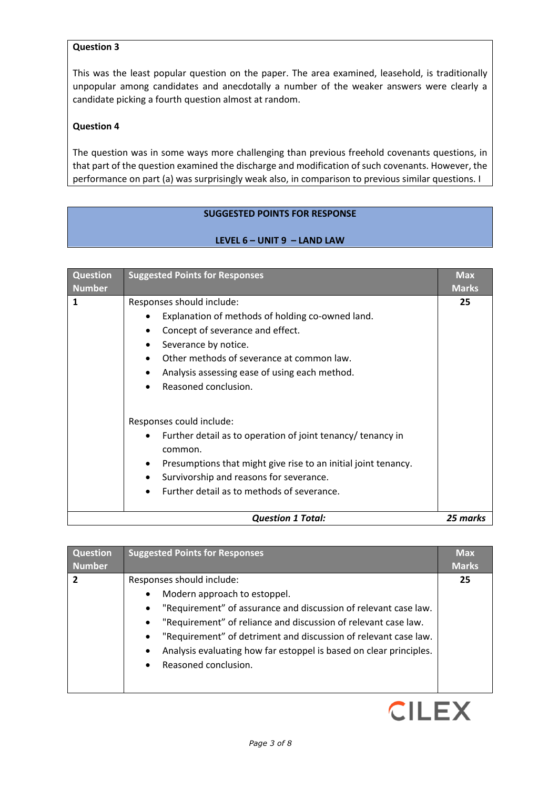# **Question 3**

This was the least popular question on the paper. The area examined, leasehold, is traditionally unpopular among candidates and anecdotally a number of the weaker answers were clearly a candidate picking a fourth question almost at random.

## **Question 4**

The question was in some ways more challenging than previous freehold covenants questions, in that part of the question examined the discharge and modification of such covenants. However, the performance on part (a) was surprisingly weak also, in comparison to previous similar questions. I

#### **SUGGESTED POINTS FOR RESPONSE**

#### **LEVEL 6 – UNIT 9 – LAND LAW**

| <b>Question</b><br><b>Number</b> | <b>Suggested Points for Responses</b>                                                                                                                                                                                                                           | <b>Max</b><br><b>Marks</b> |
|----------------------------------|-----------------------------------------------------------------------------------------------------------------------------------------------------------------------------------------------------------------------------------------------------------------|----------------------------|
| $\mathbf{1}$                     | Responses should include:<br>Explanation of methods of holding co-owned land.<br>Concept of severance and effect.<br>Severance by notice.<br>Other methods of severance at common law.<br>Analysis assessing ease of using each method.<br>Reasoned conclusion. | 25                         |
|                                  | Responses could include:<br>Further detail as to operation of joint tenancy/ tenancy in<br>common.<br>Presumptions that might give rise to an initial joint tenancy.<br>Survivorship and reasons for severance.<br>Further detail as to methods of severance.   |                            |
| <b>Question 1 Total:</b>         |                                                                                                                                                                                                                                                                 |                            |

| <b>Question</b> | <b>Suggested Points for Responses</b>                                                                                                                                                                                                                                                                                                                                                                                            | <b>Max</b>   |
|-----------------|----------------------------------------------------------------------------------------------------------------------------------------------------------------------------------------------------------------------------------------------------------------------------------------------------------------------------------------------------------------------------------------------------------------------------------|--------------|
| <b>Number</b>   |                                                                                                                                                                                                                                                                                                                                                                                                                                  | <b>Marks</b> |
| $\overline{2}$  | Responses should include:<br>Modern approach to estoppel.<br>$\bullet$<br>"Requirement" of assurance and discussion of relevant case law.<br>$\bullet$<br>"Requirement" of reliance and discussion of relevant case law.<br>$\bullet$<br>"Requirement" of detriment and discussion of relevant case law.<br>$\bullet$<br>Analysis evaluating how far estoppel is based on clear principles.<br>$\bullet$<br>Reasoned conclusion. | 25           |

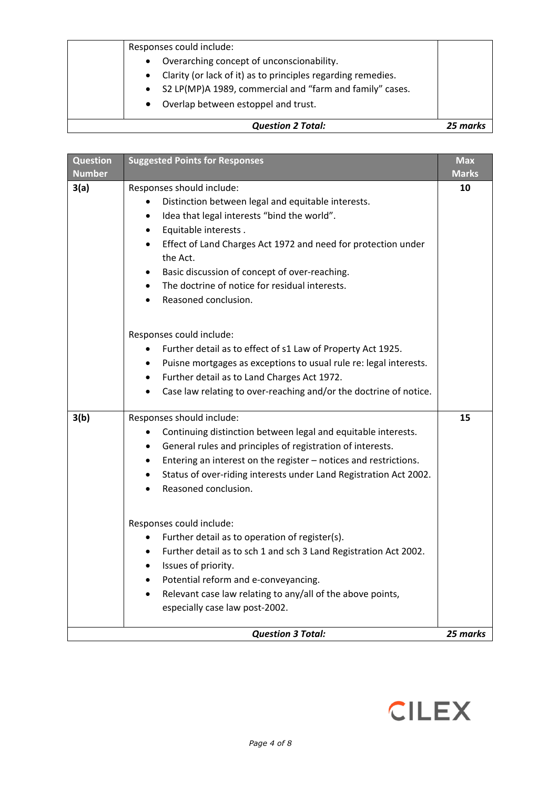| Responses could include:<br>Overarching concept of unconscionability.<br>$\bullet$<br>Clarity (or lack of it) as to principles regarding remedies.<br>$\bullet$<br>S2 LP(MP)A 1989, commercial and "farm and family" cases.<br>$\bullet$<br>Overlap between estoppel and trust.<br>$\bullet$ |          |
|----------------------------------------------------------------------------------------------------------------------------------------------------------------------------------------------------------------------------------------------------------------------------------------------|----------|
| <b>Question 2 Total:</b>                                                                                                                                                                                                                                                                     | 25 marks |

| <b>Question</b> | <b>Suggested Points for Responses</b>                                          | <b>Max</b>   |
|-----------------|--------------------------------------------------------------------------------|--------------|
| <b>Number</b>   |                                                                                | <b>Marks</b> |
| 3(a)            | Responses should include:                                                      | 10           |
|                 | Distinction between legal and equitable interests.                             |              |
|                 | Idea that legal interests "bind the world".<br>٠                               |              |
|                 | Equitable interests.<br>٠                                                      |              |
|                 | Effect of Land Charges Act 1972 and need for protection under<br>the Act.      |              |
|                 | Basic discussion of concept of over-reaching.                                  |              |
|                 | The doctrine of notice for residual interests.                                 |              |
|                 | Reasoned conclusion.<br>$\bullet$                                              |              |
|                 |                                                                                |              |
|                 | Responses could include:                                                       |              |
|                 | Further detail as to effect of s1 Law of Property Act 1925.                    |              |
|                 | Puisne mortgages as exceptions to usual rule re: legal interests.              |              |
|                 | Further detail as to Land Charges Act 1972.<br>$\bullet$                       |              |
|                 | Case law relating to over-reaching and/or the doctrine of notice.<br>$\bullet$ |              |
|                 |                                                                                |              |
| 3(b)            | Responses should include:                                                      | 15           |
|                 | Continuing distinction between legal and equitable interests.<br>٠             |              |
|                 | General rules and principles of registration of interests.<br>٠                |              |
|                 | Entering an interest on the register - notices and restrictions.               |              |
|                 | Status of over-riding interests under Land Registration Act 2002.              |              |
|                 | Reasoned conclusion.                                                           |              |
|                 |                                                                                |              |
|                 | Responses could include:                                                       |              |
|                 | Further detail as to operation of register(s).<br>٠                            |              |
|                 | Further detail as to sch 1 and sch 3 Land Registration Act 2002.               |              |
|                 | Issues of priority.<br>$\bullet$                                               |              |
|                 | Potential reform and e-conveyancing.                                           |              |
|                 | Relevant case law relating to any/all of the above points,                     |              |
|                 | especially case law post-2002.                                                 |              |
|                 |                                                                                |              |
|                 | <b>Question 3 Total:</b>                                                       | 25 marks     |

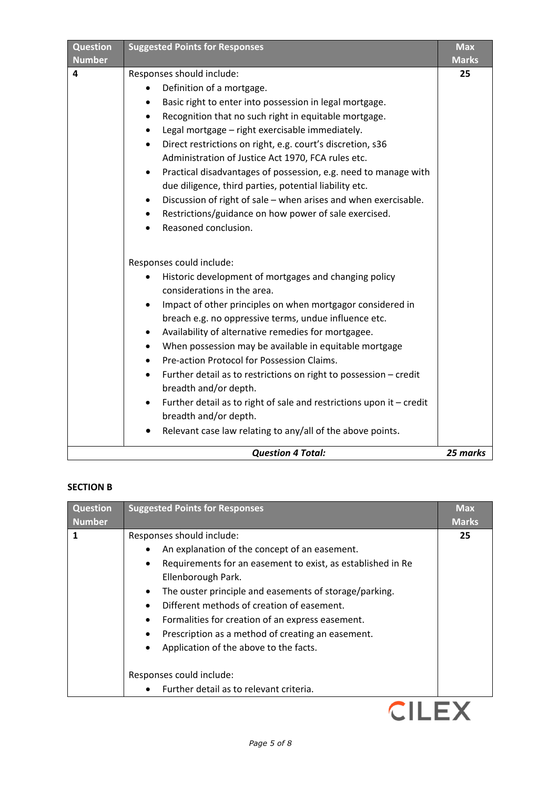| Responses should include:<br>25<br>4<br>Definition of a mortgage.<br>$\bullet$<br>Basic right to enter into possession in legal mortgage.<br>Recognition that no such right in equitable mortgage.<br>$\bullet$<br>Legal mortgage - right exercisable immediately.<br>$\bullet$<br>Direct restrictions on right, e.g. court's discretion, s36<br>$\bullet$<br>Administration of Justice Act 1970, FCA rules etc.<br>Practical disadvantages of possession, e.g. need to manage with<br>$\bullet$<br>due diligence, third parties, potential liability etc.<br>Discussion of right of sale - when arises and when exercisable.<br>$\bullet$<br>Restrictions/guidance on how power of sale exercised.<br>$\bullet$<br>Reasoned conclusion.<br>Responses could include:<br>Historic development of mortgages and changing policy<br>considerations in the area.<br>Impact of other principles on when mortgagor considered in<br>$\bullet$<br>breach e.g. no oppressive terms, undue influence etc.<br>Availability of alternative remedies for mortgagee.<br>٠<br>When possession may be available in equitable mortgage<br>$\bullet$<br>Pre-action Protocol for Possession Claims.<br>Further detail as to restrictions on right to possession - credit<br>breadth and/or depth.<br>Further detail as to right of sale and restrictions upon it - credit<br>$\bullet$<br>breadth and/or depth.<br>Relevant case law relating to any/all of the above points. | <b>Question</b><br><b>Number</b> | <b>Suggested Points for Responses</b> | <b>Max</b><br><b>Marks</b> |
|-------------------------------------------------------------------------------------------------------------------------------------------------------------------------------------------------------------------------------------------------------------------------------------------------------------------------------------------------------------------------------------------------------------------------------------------------------------------------------------------------------------------------------------------------------------------------------------------------------------------------------------------------------------------------------------------------------------------------------------------------------------------------------------------------------------------------------------------------------------------------------------------------------------------------------------------------------------------------------------------------------------------------------------------------------------------------------------------------------------------------------------------------------------------------------------------------------------------------------------------------------------------------------------------------------------------------------------------------------------------------------------------------------------------------------------------------------------|----------------------------------|---------------------------------------|----------------------------|
|                                                                                                                                                                                                                                                                                                                                                                                                                                                                                                                                                                                                                                                                                                                                                                                                                                                                                                                                                                                                                                                                                                                                                                                                                                                                                                                                                                                                                                                             |                                  |                                       |                            |
|                                                                                                                                                                                                                                                                                                                                                                                                                                                                                                                                                                                                                                                                                                                                                                                                                                                                                                                                                                                                                                                                                                                                                                                                                                                                                                                                                                                                                                                             |                                  |                                       |                            |

# **SECTION B**

| <b>Question</b> | <b>Suggested Points for Responses</b>                            | <b>Max</b>   |
|-----------------|------------------------------------------------------------------|--------------|
| <b>Number</b>   |                                                                  | <b>Marks</b> |
| 1               | Responses should include:                                        | 25           |
|                 | An explanation of the concept of an easement.                    |              |
|                 | Requirements for an easement to exist, as established in Re<br>٠ |              |
|                 | Ellenborough Park.                                               |              |
|                 | The ouster principle and easements of storage/parking.           |              |
|                 | Different methods of creation of easement.                       |              |
|                 | Formalities for creation of an express easement.                 |              |
|                 | Prescription as a method of creating an easement.                |              |
|                 | Application of the above to the facts.                           |              |
|                 | Responses could include:                                         |              |
|                 | Further detail as to relevant criteria.                          |              |
|                 |                                                                  |              |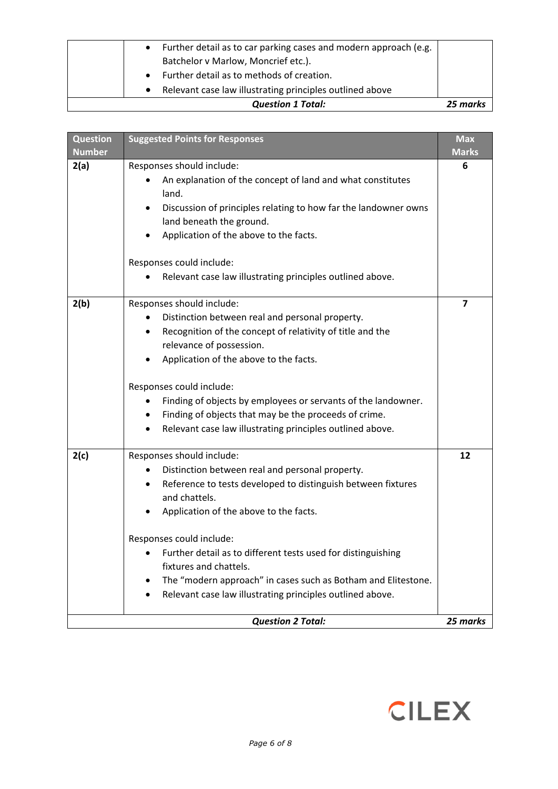|           | <b>Question 1 Total:</b>                                         | 25 marks |
|-----------|------------------------------------------------------------------|----------|
|           | Relevant case law illustrating principles outlined above         |          |
|           | Further detail as to methods of creation.<br>$\bullet$           |          |
|           | Batchelor v Marlow, Moncrief etc.).                              |          |
| $\bullet$ | Further detail as to car parking cases and modern approach (e.g. |          |

| <b>Question</b><br><b>Number</b> | <b>Suggested Points for Responses</b>                                                                                                                                                                                                                                                                                                                                                                                                                                    | <b>Max</b><br><b>Marks</b> |
|----------------------------------|--------------------------------------------------------------------------------------------------------------------------------------------------------------------------------------------------------------------------------------------------------------------------------------------------------------------------------------------------------------------------------------------------------------------------------------------------------------------------|----------------------------|
| 2(a)                             | Responses should include:<br>An explanation of the concept of land and what constitutes<br>land.<br>Discussion of principles relating to how far the landowner owns<br>land beneath the ground.<br>Application of the above to the facts.<br>Responses could include:<br>Relevant case law illustrating principles outlined above.                                                                                                                                       | 6                          |
| 2(b)                             | Responses should include:<br>Distinction between real and personal property.<br>٠<br>Recognition of the concept of relativity of title and the<br>$\bullet$<br>relevance of possession.<br>Application of the above to the facts.<br>Responses could include:<br>Finding of objects by employees or servants of the landowner.<br>٠<br>Finding of objects that may be the proceeds of crime.<br>Relevant case law illustrating principles outlined above.                | $\overline{\mathbf{z}}$    |
| 2(c)                             | Responses should include:<br>Distinction between real and personal property.<br>$\bullet$<br>Reference to tests developed to distinguish between fixtures<br>and chattels.<br>Application of the above to the facts.<br>Responses could include:<br>Further detail as to different tests used for distinguishing<br>fixtures and chattels.<br>The "modern approach" in cases such as Botham and Elitestone.<br>Relevant case law illustrating principles outlined above. | 12<br>25 marks             |
| <b>Question 2 Total:</b>         |                                                                                                                                                                                                                                                                                                                                                                                                                                                                          |                            |

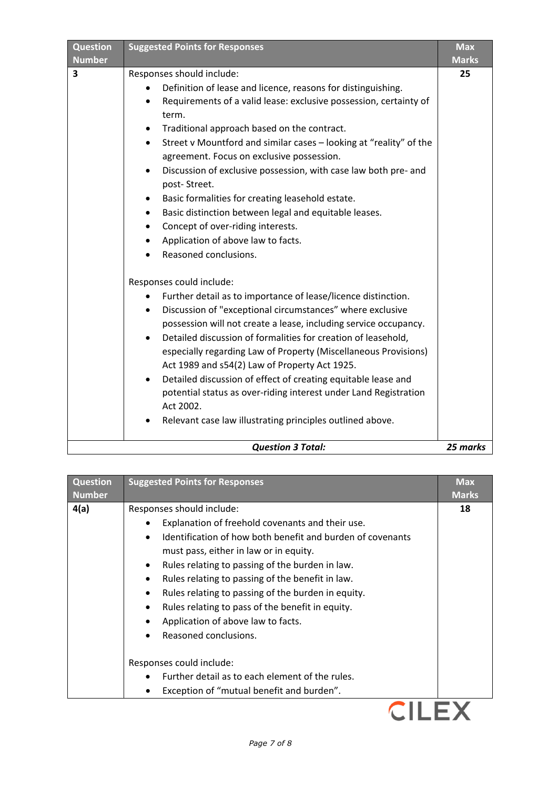| <b>Question</b><br><b>Number</b> | <b>Suggested Points for Responses</b>                                                                                                                                                                                                                                                                                                                                                                                                                                                                                                                                                                                                                                                                                                                                                                                                                                                                                                                                                                                                                                                                                                                                                                                                                                                                                                                                             | <b>Max</b><br><b>Marks</b> |
|----------------------------------|-----------------------------------------------------------------------------------------------------------------------------------------------------------------------------------------------------------------------------------------------------------------------------------------------------------------------------------------------------------------------------------------------------------------------------------------------------------------------------------------------------------------------------------------------------------------------------------------------------------------------------------------------------------------------------------------------------------------------------------------------------------------------------------------------------------------------------------------------------------------------------------------------------------------------------------------------------------------------------------------------------------------------------------------------------------------------------------------------------------------------------------------------------------------------------------------------------------------------------------------------------------------------------------------------------------------------------------------------------------------------------------|----------------------------|
| 3                                | Responses should include:<br>Definition of lease and licence, reasons for distinguishing.<br>Requirements of a valid lease: exclusive possession, certainty of<br>٠<br>term.<br>Traditional approach based on the contract.<br>٠<br>Street v Mountford and similar cases - looking at "reality" of the<br>$\bullet$<br>agreement. Focus on exclusive possession.<br>Discussion of exclusive possession, with case law both pre- and<br>٠<br>post-Street.<br>Basic formalities for creating leasehold estate.<br>$\bullet$<br>Basic distinction between legal and equitable leases.<br>$\bullet$<br>Concept of over-riding interests.<br>$\bullet$<br>Application of above law to facts.<br>٠<br>Reasoned conclusions.<br>Responses could include:<br>Further detail as to importance of lease/licence distinction.<br>Discussion of "exceptional circumstances" where exclusive<br>$\bullet$<br>possession will not create a lease, including service occupancy.<br>Detailed discussion of formalities for creation of leasehold,<br>especially regarding Law of Property (Miscellaneous Provisions)<br>Act 1989 and s54(2) Law of Property Act 1925.<br>Detailed discussion of effect of creating equitable lease and<br>$\bullet$<br>potential status as over-riding interest under Land Registration<br>Act 2002.<br>Relevant case law illustrating principles outlined above. | 25                         |
|                                  | <b>Question 3 Total:</b>                                                                                                                                                                                                                                                                                                                                                                                                                                                                                                                                                                                                                                                                                                                                                                                                                                                                                                                                                                                                                                                                                                                                                                                                                                                                                                                                                          | 25 marks                   |

| <b>Question</b> | <b>Suggested Points for Responses</b>                                                                                                                                                                                                                                                                                    | <b>Max</b>   |
|-----------------|--------------------------------------------------------------------------------------------------------------------------------------------------------------------------------------------------------------------------------------------------------------------------------------------------------------------------|--------------|
| <b>Number</b>   |                                                                                                                                                                                                                                                                                                                          | <b>Marks</b> |
| 4(a)            | Responses should include:<br>Explanation of freehold covenants and their use.<br>Identification of how both benefit and burden of covenants<br>must pass, either in law or in equity.                                                                                                                                    | 18           |
|                 | Rules relating to passing of the burden in law.<br>$\bullet$<br>Rules relating to passing of the benefit in law.<br>٠<br>Rules relating to passing of the burden in equity.<br>$\bullet$<br>Rules relating to pass of the benefit in equity.<br>$\bullet$<br>Application of above law to facts.<br>Reasoned conclusions. |              |
|                 | Responses could include:<br>Further detail as to each element of the rules.<br>Exception of "mutual benefit and burden".<br>٠                                                                                                                                                                                            |              |
|                 |                                                                                                                                                                                                                                                                                                                          |              |